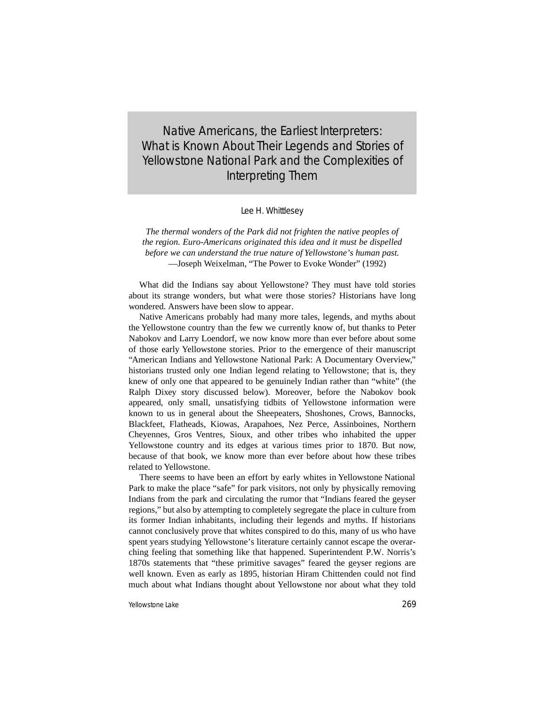Native Americans, the Earliest Interpreters: What is Known About Their Legends and Stories of Yellowstone National Park and the Complexities of Interpreting Them

Lee H. Whittlesey

*The thermal wonders of the Park did not frighten the native peoples of the region. Euro-Americans originated this idea and it must be dispelled before we can understand the true nature of Yellowstone's human past.* —Joseph Weixelman, "The Power to Evoke Wonder" (1992)

What did the Indians say about Yellowstone? They must have told stories about its strange wonders, but what were those stories? Historians have long wondered. Answers have been slow to appear.

Native Americans probably had many more tales, legends, and myths about the Yellowstone country than the few we currently know of, but thanks to Peter Nabokov and Larry Loendorf, we now know more than ever before about some of those early Yellowstone stories. Prior to the emergence of their manuscript "American Indians and Yellowstone National Park: A Documentary Overview," historians trusted only one Indian legend relating to Yellowstone; that is, they knew of only one that appeared to be genuinely Indian rather than "white" (the Ralph Dixey story discussed below). Moreover, before the Nabokov book appeared, only small, unsatisfying tidbits of Yellowstone information were known to us in general about the Sheepeaters, Shoshones, Crows, Bannocks, Blackfeet, Flatheads, Kiowas, Arapahoes, Nez Perce, Assinboines, Northern Cheyennes, Gros Ventres, Sioux, and other tribes who inhabited the upper Yellowstone country and its edges at various times prior to 1870. But now, because of that book, we know more than ever before about how these tribes related to Yellowstone.

There seems to have been an effort by early whites in Yellowstone National Park to make the place "safe" for park visitors, not only by physically removing Indians from the park and circulating the rumor that "Indians feared the geyser regions," but also by attempting to completely segregate the place in culture from its former Indian inhabitants, including their legends and myths. If historians cannot conclusively prove that whites conspired to do this, many of us who have spent years studying Yellowstone's literature certainly cannot escape the overarching feeling that something like that happened. Superintendent P.W. Norris's 1870s statements that "these primitive savages" feared the geyser regions are well known. Even as early as 1895, historian Hiram Chittenden could not find much about what Indians thought about Yellowstone nor about what they told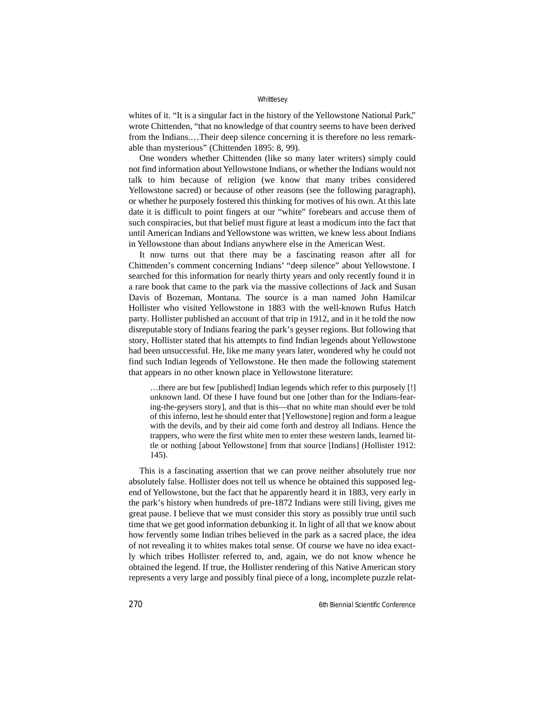whites of it. "It is a singular fact in the history of the Yellowstone National Park," wrote Chittenden, "that no knowledge of that country seems to have been derived from the Indians.…Their deep silence concerning it is therefore no less remarkable than mysterious" (Chittenden 1895: 8, 99).

One wonders whether Chittenden (like so many later writers) simply could not find information about Yellowstone Indians, or whether the Indians would not talk to him because of religion (we know that many tribes considered Yellowstone sacred) or because of other reasons (see the following paragraph), or whether he purposely fostered this thinking for motives of his own. At this late date it is difficult to point fingers at our "white" forebears and accuse them of such conspiracies, but that belief must figure at least a modicum into the fact that until American Indians and Yellowstone was written, we knew less about Indians in Yellowstone than about Indians anywhere else in the American West.

It now turns out that there may be a fascinating reason after all for Chittenden's comment concerning Indians' "deep silence" about Yellowstone. I searched for this information for nearly thirty years and only recently found it in a rare book that came to the park via the massive collections of Jack and Susan Davis of Bozeman, Montana. The source is a man named John Hamilcar Hollister who visited Yellowstone in 1883 with the well-known Rufus Hatch party. Hollister published an account of that trip in 1912, and in it he told the now disreputable story of Indians fearing the park's geyser regions. But following that story, Hollister stated that his attempts to find Indian legends about Yellowstone had been unsuccessful. He, like me many years later, wondered why he could not find such Indian legends of Yellowstone. He then made the following statement that appears in no other known place in Yellowstone literature:

…there are but few [published] Indian legends which refer to this purposely [!] unknown land. Of these I have found but one [other than for the Indians-fearing-the-geysers story], and that is this—that no white man should ever be told of this inferno, lest he should enter that [Yellowstone] region and form a league with the devils, and by their aid come forth and destroy all Indians. Hence the trappers, who were the first white men to enter these western lands, learned little or nothing [about Yellowstone] from that source [Indians] (Hollister 1912: 145).

This is a fascinating assertion that we can prove neither absolutely true nor absolutely false. Hollister does not tell us whence he obtained this supposed legend of Yellowstone, but the fact that he apparently heard it in 1883, very early in the park's history when hundreds of pre-1872 Indians were still living, gives me great pause. I believe that we must consider this story as possibly true until such time that we get good information debunking it. In light of all that we know about how fervently some Indian tribes believed in the park as a sacred place, the idea of not revealing it to whites makes total sense. Of course we have no idea exactly which tribes Hollister referred to, and, again, we do not know whence he obtained the legend. If true, the Hollister rendering of this Native American story represents a very large and possibly final piece of a long, incomplete puzzle relat-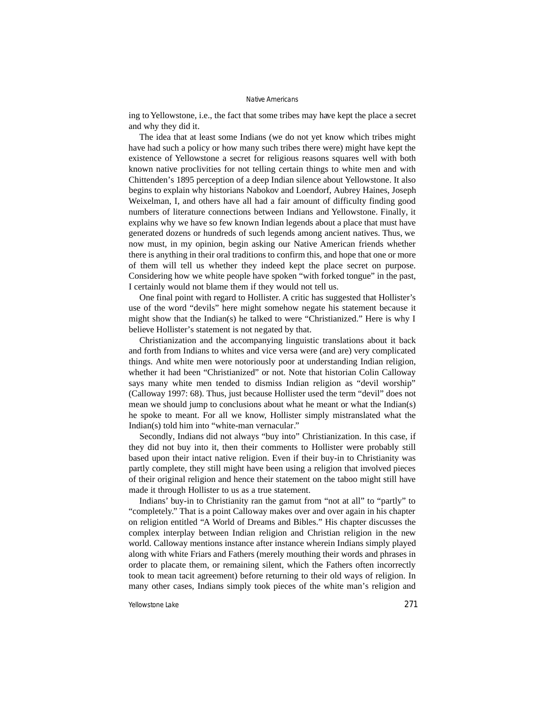ing to Yellowstone, i.e., the fact that some tribes may have kept the place a secret and why they did it.

The idea that at least some Indians (we do not yet know which tribes might have had such a policy or how many such tribes there were) might have kept the existence of Yellowstone a secret for religious reasons squares well with both known native proclivities for not telling certain things to white men and with Chittenden's 1895 perception of a deep Indian silence about Yellowstone. It also begins to explain why historians Nabokov and Loendorf, Aubrey Haines, Joseph Weixelman, I, and others have all had a fair amount of difficulty finding good numbers of literature connections between Indians and Yellowstone. Finally, it explains why we have so few known Indian legends about a place that must have generated dozens or hundreds of such legends among ancient natives. Thus, we now must, in my opinion, begin asking our Native American friends whether there is anything in their oral traditions to confirm this, and hope that one or more of them will tell us whether they indeed kept the place secret on purpose. Considering how we white people have spoken "with forked tongue" in the past, I certainly would not blame them if they would not tell us.

One final point with regard to Hollister. A critic has suggested that Hollister's use of the word "devils" here might somehow negate his statement because it might show that the Indian(s) he talked to were "Christianized." Here is why I believe Hollister's statement is not negated by that.

Christianization and the accompanying linguistic translations about it back and forth from Indians to whites and vice versa were (and are) very complicated things. And white men were notoriously poor at understanding Indian religion, whether it had been "Christianized" or not. Note that historian Colin Calloway says many white men tended to dismiss Indian religion as "devil worship" (Calloway 1997: 68). Thus, just because Hollister used the term "devil" does not mean we should jump to conclusions about what he meant or what the Indian(s) he spoke to meant. For all we know, Hollister simply mistranslated what the Indian(s) told him into "white-man vernacular."

Secondly, Indians did not always "buy into" Christianization. In this case, if they did not buy into it, then their comments to Hollister were probably still based upon their intact native religion. Even if their buy-in to Christianity was partly complete, they still might have been using a religion that involved pieces of their original religion and hence their statement on the taboo might still have made it through Hollister to us as a true statement.

Indians' buy-in to Christianity ran the gamut from "not at all" to "partly" to "completely." That is a point Calloway makes over and over again in his chapter on religion entitled "A World of Dreams and Bibles." His chapter discusses the complex interplay between Indian religion and Christian religion in the new world. Calloway mentions instance after instance wherein Indians simply played along with white Friars and Fathers (merely mouthing their words and phrases in order to placate them, or remaining silent, which the Fathers often incorrectly took to mean tacit agreement) before returning to their old ways of religion. In many other cases, Indians simply took pieces of the white man's religion and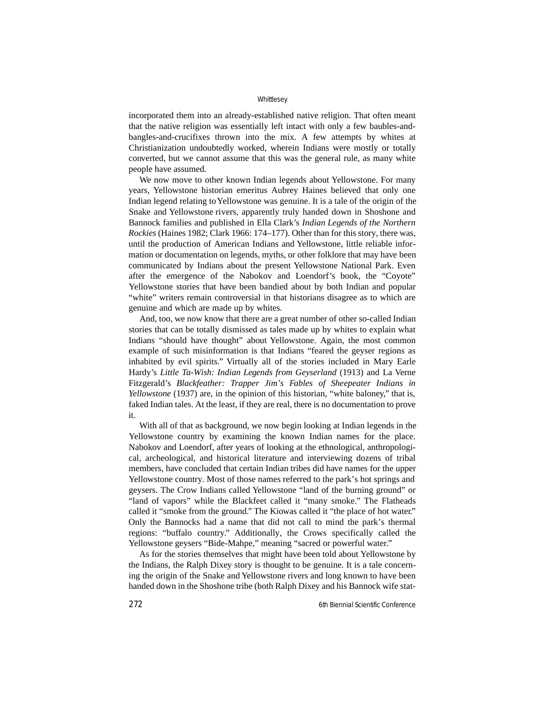incorporated them into an already-established native religion. That often meant that the native religion was essentially left intact with only a few baubles-andbangles-and-crucifixes thrown into the mix. A few attempts by whites at Christianization undoubtedly worked, wherein Indians were mostly or totally converted, but we cannot assume that this was the general rule, as many white people have assumed.

We now move to other known Indian legends about Yellowstone. For many years, Yellowstone historian emeritus Aubrey Haines believed that only one Indian legend relating to Yellowstone was genuine. It is a tale of the origin of the Snake and Yellowstone rivers, apparently truly handed down in Shoshone and Bannock families and published in Ella Clark's *Indian Legends of the Northern Rockies* (Haines 1982; Clark 1966: 174–177). Other than for this story, there was, until the production of American Indians and Yellowstone, little reliable information or documentation on legends, myths, or other folklore that may have been communicated by Indians about the present Yellowstone National Park. Even after the emergence of the Nabokov and Loendorf's book, the "Coyote" Yellowstone stories that have been bandied about by both Indian and popular "white" writers remain controversial in that historians disagree as to which are genuine and which are made up by whites.

And, too, we now know that there are a great number of other so-called Indian stories that can be totally dismissed as tales made up by whites to explain what Indians "should have thought" about Yellowstone. Again, the most common example of such misinformation is that Indians "feared the geyser regions as inhabited by evil spirits." Virtually all of the stories included in Mary Earle Hardy's *Little Ta-Wish: Indian Legends from Geyserland* (1913) and La Verne Fitzgerald's *Blackfeather: Trapper Jim's Fables of Sheepeater Indians in Yellowstone* (1937) are, in the opinion of this historian, "white baloney," that is, faked Indian tales. At the least, if they are real, there is no documentation to prove it.

With all of that as background, we now begin looking at Indian legends in the Yellowstone country by examining the known Indian names for the place. Nabokov and Loendorf, after years of looking at the ethnological, anthropological, archeological, and historical literature and interviewing dozens of tribal members, have concluded that certain Indian tribes did have names for the upper Yellowstone country. Most of those names referred to the park's hot springs and geysers. The Crow Indians called Yellowstone "land of the burning ground" or "land of vapors" while the Blackfeet called it "many smoke." The Flatheads called it "smoke from the ground." The Kiowas called it "the place of hot water." Only the Bannocks had a name that did not call to mind the park's thermal regions: "buffalo country." Additionally, the Crows specifically called the Yellowstone geysers "Bide-Mahpe," meaning "sacred or powerful water."

As for the stories themselves that might have been told about Yellowstone by the Indians, the Ralph Dixey story is thought to be genuine. It is a tale concerning the origin of the Snake and Yellowstone rivers and long known to have been handed down in the Shoshone tribe (both Ralph Dixey and his Bannock wife stat-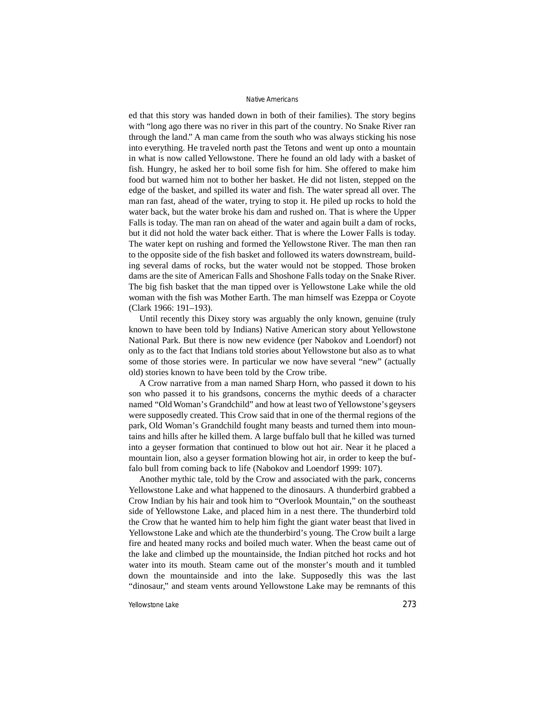ed that this story was handed down in both of their families). The story begins with "long ago there was no river in this part of the country. No Snake River ran through the land." A man came from the south who was always sticking his nose into everything. He traveled north past the Tetons and went up onto a mountain in what is now called Yellowstone. There he found an old lady with a basket of fish. Hungry, he asked her to boil some fish for him. She offered to make him food but warned him not to bother her basket. He did not listen, stepped on the edge of the basket, and spilled its water and fish. The water spread all over. The man ran fast, ahead of the water, trying to stop it. He piled up rocks to hold the water back, but the water broke his dam and rushed on. That is where the Upper Falls is today. The man ran on ahead of the water and again built a dam of rocks, but it did not hold the water back either. That is where the Lower Falls is today. The water kept on rushing and formed the Yellowstone River. The man then ran to the opposite side of the fish basket and followed its waters downstream, building several dams of rocks, but the water would not be stopped. Those broken dams are the site of American Falls and Shoshone Falls today on the Snake River. The big fish basket that the man tipped over is Yellowstone Lake while the old woman with the fish was Mother Earth. The man himself was Ezeppa or Coyote (Clark 1966: 191–193).

Until recently this Dixey story was arguably the only known, genuine (truly known to have been told by Indians) Native American story about Yellowstone National Park. But there is now new evidence (per Nabokov and Loendorf) not only as to the fact that Indians told stories about Yellowstone but also as to what some of those stories were. In particular we now have several "new" (actually old) stories known to have been told by the Crow tribe.

A Crow narrative from a man named Sharp Horn, who passed it down to his son who passed it to his grandsons, concerns the mythic deeds of a character named "Old Woman's Grandchild" and how at least two of Yellowstone's geysers were supposedly created. This Crow said that in one of the thermal regions of the park, Old Woman's Grandchild fought many beasts and turned them into mountains and hills after he killed them. A large buffalo bull that he killed was turned into a geyser formation that continued to blow out hot air. Near it he placed a mountain lion, also a geyser formation blowing hot air, in order to keep the buffalo bull from coming back to life (Nabokov and Loendorf 1999: 107).

Another mythic tale, told by the Crow and associated with the park, concerns Yellowstone Lake and what happened to the dinosaurs. A thunderbird grabbed a Crow Indian by his hair and took him to "Overlook Mountain," on the southeast side of Yellowstone Lake, and placed him in a nest there. The thunderbird told the Crow that he wanted him to help him fight the giant water beast that lived in Yellowstone Lake and which ate the thunderbird's young. The Crow built a large fire and heated many rocks and boiled much water. When the beast came out of the lake and climbed up the mountainside, the Indian pitched hot rocks and hot water into its mouth. Steam came out of the monster's mouth and it tumbled down the mountainside and into the lake. Supposedly this was the last "dinosaur," and steam vents around Yellowstone Lake may be remnants of this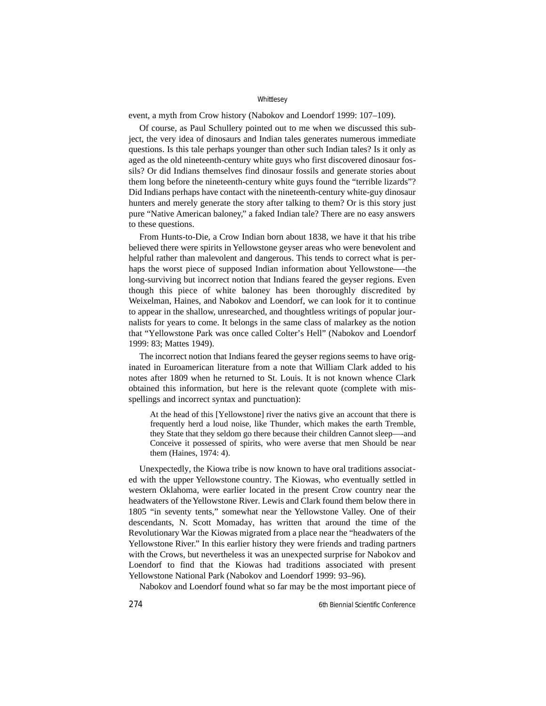event, a myth from Crow history (Nabokov and Loendorf 1999: 107–109).

Of course, as Paul Schullery pointed out to me when we discussed this subject, the very idea of dinosaurs and Indian tales generates numerous immediate questions. Is this tale perhaps younger than other such Indian tales? Is it only as aged as the old nineteenth-century white guys who first discovered dinosaur fossils? Or did Indians themselves find dinosaur fossils and generate stories about them long before the nineteenth-century white guys found the "terrible lizards"? Did Indians perhaps have contact with the nineteenth-century white-guy dinosaur hunters and merely generate the story after talking to them? Or is this story just pure "Native American baloney," a faked Indian tale? There are no easy answers to these questions.

From Hunts-to-Die, a Crow Indian born about 1838, we have it that his tribe believed there were spirits in Yellowstone geyser areas who were benevolent and helpful rather than malevolent and dangerous. This tends to correct what is perhaps the worst piece of supposed Indian information about Yellowstone—-the long-surviving but incorrect notion that Indians feared the geyser regions. Even though this piece of white baloney has been thoroughly discredited by Weixelman, Haines, and Nabokov and Loendorf, we can look for it to continue to appear in the shallow, unresearched, and thoughtless writings of popular journalists for years to come. It belongs in the same class of malarkey as the notion that "Yellowstone Park was once called Colter's Hell" (Nabokov and Loendorf 1999: 83; Mattes 1949).

The incorrect notion that Indians feared the geyser regions seems to have originated in Euroamerican literature from a note that William Clark added to his notes after 1809 when he returned to St. Louis. It is not known whence Clark obtained this information, but here is the relevant quote (complete with misspellings and incorrect syntax and punctuation):

At the head of this [Yellowstone] river the nativs give an account that there is frequently herd a loud noise, like Thunder, which makes the earth Tremble, they State that they seldom go there because their children Cannot sleep—-and Conceive it possessed of spirits, who were averse that men Should be near them (Haines, 1974: 4).

Unexpectedly, the Kiowa tribe is now known to have oral traditions associated with the upper Yellowstone country. The Kiowas, who eventually settled in western Oklahoma, were earlier located in the present Crow country near the headwaters of the Yellowstone River. Lewis and Clark found them below there in 1805 "in seventy tents," somewhat near the Yellowstone Valley. One of their descendants, N. Scott Momaday, has written that around the time of the Revolutionary War the Kiowas migrated from a place near the "headwaters of the Yellowstone River." In this earlier history they were friends and trading partners with the Crows, but nevertheless it was an unexpected surprise for Nabokov and Loendorf to find that the Kiowas had traditions associated with present Yellowstone National Park (Nabokov and Loendorf 1999: 93–96).

Nabokov and Loendorf found what so far may be the most important piece of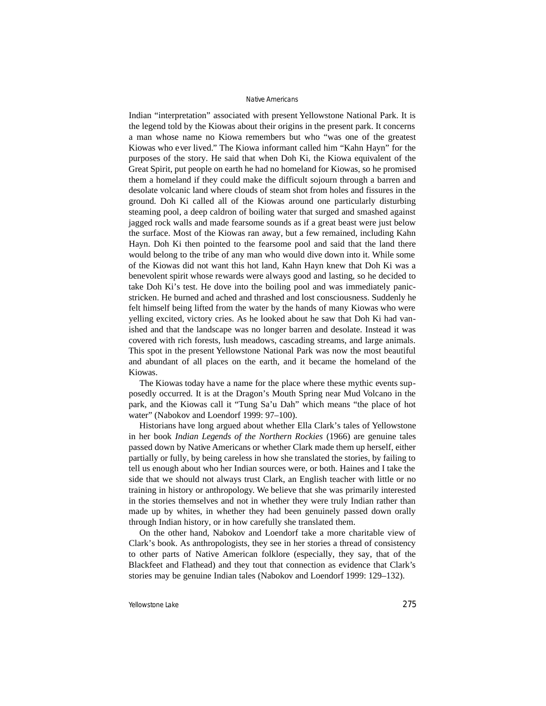Indian "interpretation" associated with present Yellowstone National Park. It is the legend told by the Kiowas about their origins in the present park. It concerns a man whose name no Kiowa remembers but who "was one of the greatest Kiowas who ever lived." The Kiowa informant called him "Kahn Hayn" for the purposes of the story. He said that when Doh Ki, the Kiowa equivalent of the Great Spirit, put people on earth he had no homeland for Kiowas, so he promised them a homeland if they could make the difficult sojourn through a barren and desolate volcanic land where clouds of steam shot from holes and fissures in the ground. Doh Ki called all of the Kiowas around one particularly disturbing steaming pool, a deep caldron of boiling water that surged and smashed against jagged rock walls and made fearsome sounds as if a great beast were just below the surface. Most of the Kiowas ran away, but a few remained, including Kahn Hayn. Doh Ki then pointed to the fearsome pool and said that the land there would belong to the tribe of any man who would dive down into it. While some of the Kiowas did not want this hot land, Kahn Hayn knew that Doh Ki was a benevolent spirit whose rewards were always good and lasting, so he decided to take Doh Ki's test. He dove into the boiling pool and was immediately panicstricken. He burned and ached and thrashed and lost consciousness. Suddenly he felt himself being lifted from the water by the hands of many Kiowas who were yelling excited, victory cries. As he looked about he saw that Doh Ki had vanished and that the landscape was no longer barren and desolate. Instead it was covered with rich forests, lush meadows, cascading streams, and large animals. This spot in the present Yellowstone National Park was now the most beautiful and abundant of all places on the earth, and it became the homeland of the Kiowas.

The Kiowas today have a name for the place where these mythic events supposedly occurred. It is at the Dragon's Mouth Spring near Mud Volcano in the park, and the Kiowas call it "Tung Sa'u Dah" which means "the place of hot water" (Nabokov and Loendorf 1999: 97-100).

Historians have long argued about whether Ella Clark's tales of Yellowstone in her book *Indian Legends of the Northern Rockies* (1966) are genuine tales passed down by Native Americans or whether Clark made them up herself, either partially or fully, by being careless in how she translated the stories, by failing to tell us enough about who her Indian sources were, or both. Haines and I take the side that we should not always trust Clark, an English teacher with little or no training in history or anthropology. We believe that she was primarily interested in the stories themselves and not in whether they were truly Indian rather than made up by whites, in whether they had been genuinely passed down orally through Indian history, or in how carefully she translated them.

On the other hand, Nabokov and Loendorf take a more charitable view of Clark's book. As anthropologists, they see in her stories a thread of consistency to other parts of Native American folklore (especially, they say, that of the Blackfeet and Flathead) and they tout that connection as evidence that Clark's stories may be genuine Indian tales (Nabokov and Loendorf 1999: 129–132).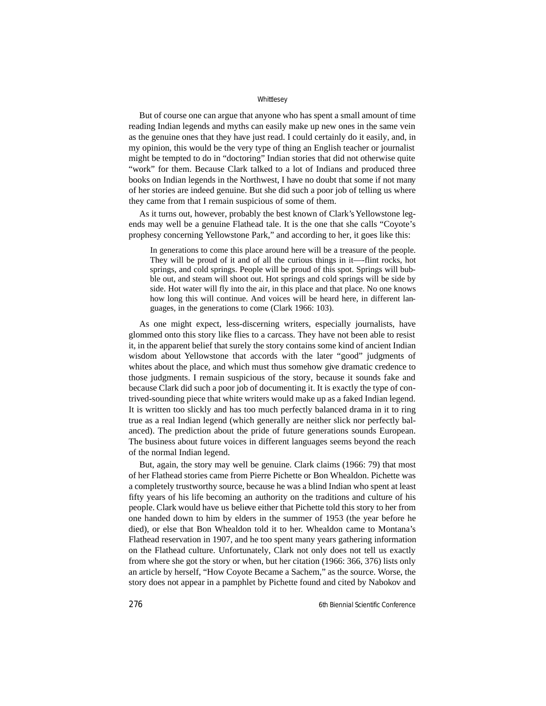But of course one can argue that anyone who has spent a small amount of time reading Indian legends and myths can easily make up new ones in the same vein as the genuine ones that they have just read. I could certainly do it easily, and, in my opinion, this would be the very type of thing an English teacher or journalist might be tempted to do in "doctoring" Indian stories that did not otherwise quite "work" for them. Because Clark talked to a lot of Indians and produced three books on Indian legends in the Northwest, I have no doubt that some if not many of her stories are indeed genuine. But she did such a poor job of telling us where they came from that I remain suspicious of some of them.

As it turns out, however, probably the best known of Clark's Yellowstone legends may well be a genuine Flathead tale. It is the one that she calls "Coyote's prophesy concerning Yellowstone Park," and according to her, it goes like this:

In generations to come this place around here will be a treasure of the people. They will be proud of it and of all the curious things in it—-flint rocks, hot springs, and cold springs. People will be proud of this spot. Springs will bubble out, and steam will shoot out. Hot springs and cold springs will be side by side. Hot water will fly into the air, in this place and that place. No one knows how long this will continue. And voices will be heard here, in different languages, in the generations to come (Clark 1966: 103).

As one might expect, less-discerning writers, especially journalists, have glommed onto this story like flies to a carcass. They have not been able to resist it, in the apparent belief that surely the story contains some kind of ancient Indian wisdom about Yellowstone that accords with the later "good" judgments of whites about the place, and which must thus somehow give dramatic credence to those judgments. I remain suspicious of the story, because it sounds fake and because Clark did such a poor job of documenting it. It is exactly the type of contrived-sounding piece that white writers would make up as a faked Indian legend. It is written too slickly and has too much perfectly balanced drama in it to ring true as a real Indian legend (which generally are neither slick nor perfectly balanced). The prediction about the pride of future generations sounds European. The business about future voices in different languages seems beyond the reach of the normal Indian legend.

But, again, the story may well be genuine. Clark claims (1966: 79) that most of her Flathead stories came from Pierre Pichette or Bon Whealdon. Pichette was a completely trustworthy source, because he was a blind Indian who spent at least fifty years of his life becoming an authority on the traditions and culture of his people. Clark would have us believe either that Pichette told this story to her from one handed down to him by elders in the summer of 1953 (the year before he died), or else that Bon Whealdon told it to her. Whealdon came to Montana's Flathead reservation in 1907, and he too spent many years gathering information on the Flathead culture. Unfortunately, Clark not only does not tell us exactly from where she got the story or when, but her citation (1966: 366, 376) lists only an article by herself, "How Coyote Became a Sachem," as the source. Worse, the story does not appear in a pamphlet by Pichette found and cited by Nabokov and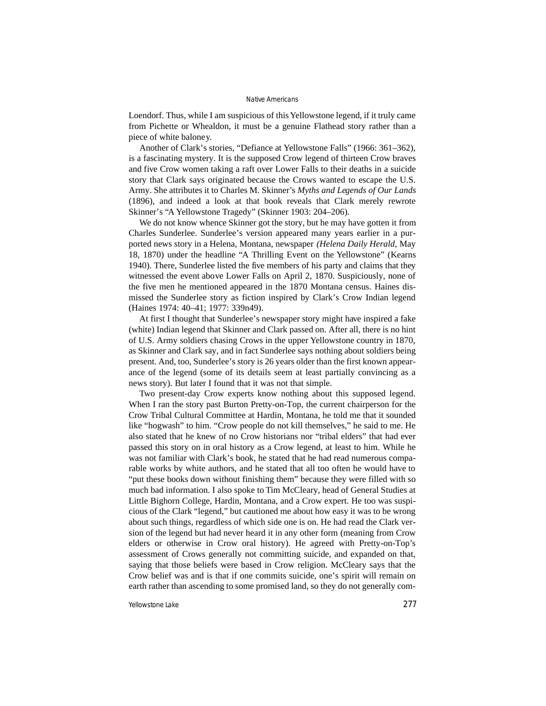Loendorf. Thus, while I am suspicious of this Yellowstone legend, if it truly came from Pichette or Whealdon, it must be a genuine Flathead story rather than a piece of white baloney.

Another of Clark's stories, "Defiance at Yellowstone Falls" (1966: 361–362), is a fascinating mystery. It is the supposed Crow legend of thirteen Crow braves and five Crow women taking a raft over Lower Falls to their deaths in a suicide story that Clark says originated because the Crows wanted to escape the U.S. Army. She attributes it to Charles M. Skinner's *Myths and Legends of Our Lands* (1896), and indeed a look at that book reveals that Clark merely rewrote Skinner's "A Yellowstone Tragedy" (Skinner 1903: 204–206).

We do not know whence Skinner got the story, but he may have gotten it from Charles Sunderlee. Sunderlee's version appeared many years earlier in a purported news story in a Helena, Montana, newspaper *(Helena Daily Herald,* May 18, 1870) under the headline "A Thrilling Event on the Yellowstone" (Kearns 1940). There, Sunderlee listed the five members of his party and claims that they witnessed the event above Lower Falls on April 2, 1870. Suspiciously, none of the five men he mentioned appeared in the 1870 Montana census. Haines dismissed the Sunderlee story as fiction inspired by Clark's Crow Indian legend (Haines 1974: 40–41; 1977: 339n49).

At first I thought that Sunderlee's newspaper story might have inspired a fake (white) Indian legend that Skinner and Clark passed on. After all, there is no hint of U.S. Army soldiers chasing Crows in the upper Yellowstone country in 1870, as Skinner and Clark say, and in fact Sunderlee says nothing about soldiers being present. And, too, Sunderlee's story is 26 years older than the first known appearance of the legend (some of its details seem at least partially convincing as a news story). But later I found that it was not that simple.

Two present-day Crow experts know nothing about this supposed legend. When I ran the story past Burton Pretty-on-Top, the current chairperson for the Crow Tribal Cultural Committee at Hardin, Montana, he told me that it sounded like "hogwash" to him. "Crow people do not kill themselves," he said to me. He also stated that he knew of no Crow historians nor "tribal elders" that had ever passed this story on in oral history as a Crow legend, at least to him. While he was not familiar with Clark's book, he stated that he had read numerous comparable works by white authors, and he stated that all too often he would have to "put these books down without finishing them" because they were filled with so much bad information. I also spoke to Tim McCleary, head of General Studies at Little Bighorn College, Hardin, Montana, and a Crow expert. He too was suspicious of the Clark "legend," but cautioned me about how easy it was to be wrong about such things, regardless of which side one is on. He had read the Clark version of the legend but had never heard it in any other form (meaning from Crow elders or otherwise in Crow oral history). He agreed with Pretty-on-Top's assessment of Crows generally not committing suicide, and expanded on that, saying that those beliefs were based in Crow religion. McCleary says that the Crow belief was and is that if one commits suicide, one's spirit will remain on earth rather than ascending to some promised land, so they do not generally com-

Yellowstone Lake 277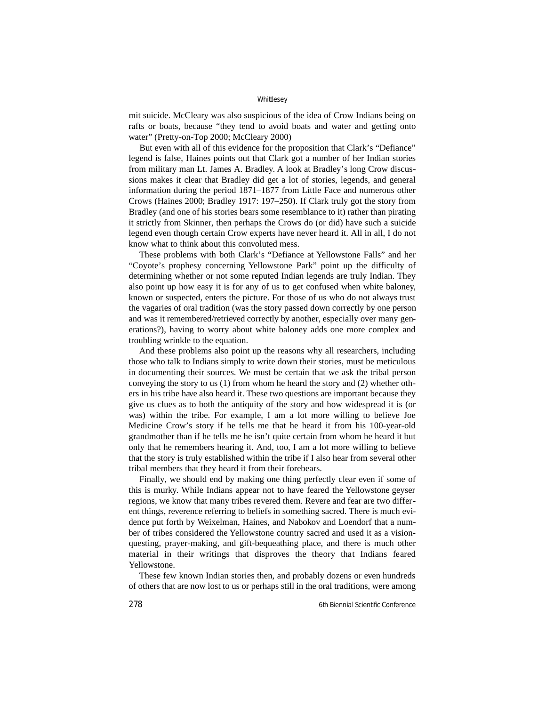mit suicide. McCleary was also suspicious of the idea of Crow Indians being on rafts or boats, because "they tend to avoid boats and water and getting onto water" (Pretty-on-Top 2000; McCleary 2000)

But even with all of this evidence for the proposition that Clark's "Defiance" legend is false, Haines points out that Clark got a number of her Indian stories from military man Lt. James A. Bradley. A look at Bradley's long Crow discussions makes it clear that Bradley did get a lot of stories, legends, and general information during the period 1871–1877 from Little Face and numerous other Crows (Haines 2000; Bradley 1917: 197–250). If Clark truly got the story from Bradley (and one of his stories bears some resemblance to it) rather than pirating it strictly from Skinner, then perhaps the Crows do (or did) have such a suicide legend even though certain Crow experts have never heard it. All in all, I do not know what to think about this convoluted mess.

These problems with both Clark's "Defiance at Yellowstone Falls" and her "Coyote's prophesy concerning Yellowstone Park" point up the difficulty of determining whether or not some reputed Indian legends are truly Indian. They also point up how easy it is for any of us to get confused when white baloney, known or suspected, enters the picture. For those of us who do not always trust the vagaries of oral tradition (was the story passed down correctly by one person and was it remembered/retrieved correctly by another, especially over many generations?), having to worry about white baloney adds one more complex and troubling wrinkle to the equation.

And these problems also point up the reasons why all researchers, including those who talk to Indians simply to write down their stories, must be meticulous in documenting their sources. We must be certain that we ask the tribal person conveying the story to us (1) from whom he heard the story and (2) whether others in his tribe have also heard it. These two questions are important because they give us clues as to both the antiquity of the story and how widespread it is (or was) within the tribe. For example, I am a lot more willing to believe Joe Medicine Crow's story if he tells me that he heard it from his 100-year-old grandmother than if he tells me he isn't quite certain from whom he heard it but only that he remembers hearing it. And, too, I am a lot more willing to believe that the story is truly established within the tribe if I also hear from several other tribal members that they heard it from their forebears.

Finally, we should end by making one thing perfectly clear even if some of this is murky. While Indians appear not to have feared the Yellowstone geyser regions, we know that many tribes revered them. Revere and fear are two different things, reverence referring to beliefs in something sacred. There is much evidence put forth by Weixelman, Haines, and Nabokov and Loendorf that a number of tribes considered the Yellowstone country sacred and used it as a visionquesting, prayer-making, and gift-bequeathing place, and there is much other material in their writings that disproves the theory that Indians feared Yellowstone.

These few known Indian stories then, and probably dozens or even hundreds of others that are now lost to us or perhaps still in the oral traditions, were among

278 6th Biennial Scientific Conference